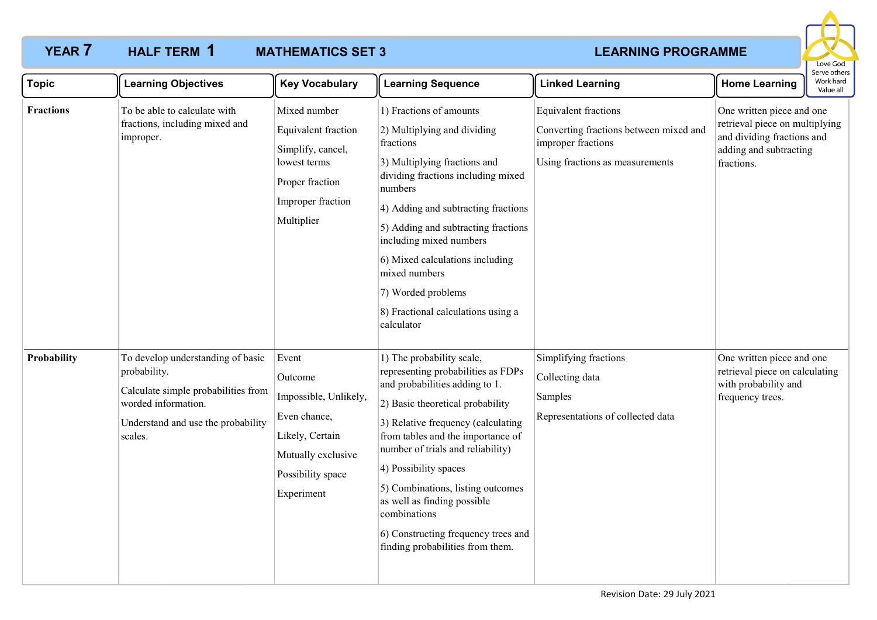### **YEAR 7 HALF TERM 1 MATHEMATICS SET 3 LEARNING PROGRAMME MATHEMATICS SET 3** HALF TERM 1



| <b>Topic</b>     | <b>Learning Objectives</b>                                                                                                                                       | <b>Key Vocabulary</b>                                                                                                                 | <b>Learning Sequence</b>                                                                                                                                                                                                                                                                                                                                                                                                                      | <b>Linked Learning</b>                                                                                                  | <b>Home Learning</b>                                                                                                              | Work hard<br>Value all |
|------------------|------------------------------------------------------------------------------------------------------------------------------------------------------------------|---------------------------------------------------------------------------------------------------------------------------------------|-----------------------------------------------------------------------------------------------------------------------------------------------------------------------------------------------------------------------------------------------------------------------------------------------------------------------------------------------------------------------------------------------------------------------------------------------|-------------------------------------------------------------------------------------------------------------------------|-----------------------------------------------------------------------------------------------------------------------------------|------------------------|
| <b>Fractions</b> | To be able to calculate with<br>fractions, including mixed and<br>improper.                                                                                      | Mixed number<br>Equivalent fraction<br>Simplify, cancel,<br>lowest terms<br>Proper fraction<br>Improper fraction<br>Multiplier        | 1) Fractions of amounts<br>2) Multiplying and dividing<br>fractions<br>3) Multiplying fractions and<br>dividing fractions including mixed<br>numbers<br>4) Adding and subtracting fractions<br>5) Adding and subtracting fractions<br>including mixed numbers<br>6) Mixed calculations including<br>mixed numbers<br>7) Worded problems<br>8) Fractional calculations using a<br>calculator                                                   | Equivalent fractions<br>Converting fractions between mixed and<br>improper fractions<br>Using fractions as measurements | One written piece and one<br>retrieval piece on multiplying<br>and dividing fractions and<br>adding and subtracting<br>fractions. |                        |
| Probability      | To develop understanding of basic<br>probability.<br>Calculate simple probabilities from<br>worded information.<br>Understand and use the probability<br>scales. | Event<br>Outcome<br>Impossible, Unlikely,<br>Even chance,<br>Likely, Certain<br>Mutually exclusive<br>Possibility space<br>Experiment | 1) The probability scale,<br>representing probabilities as FDPs<br>and probabilities adding to 1.<br>2) Basic theoretical probability<br>3) Relative frequency (calculating<br>from tables and the importance of<br>number of trials and reliability)<br>4) Possibility spaces<br>5) Combinations, listing outcomes<br>as well as finding possible<br>combinations<br>6) Constructing frequency trees and<br>finding probabilities from them. | Simplifying fractions<br>Collecting data<br>Samples<br>Representations of collected data                                | One written piece and one<br>retrieval piece on calculating<br>with probability and<br>frequency trees.                           |                        |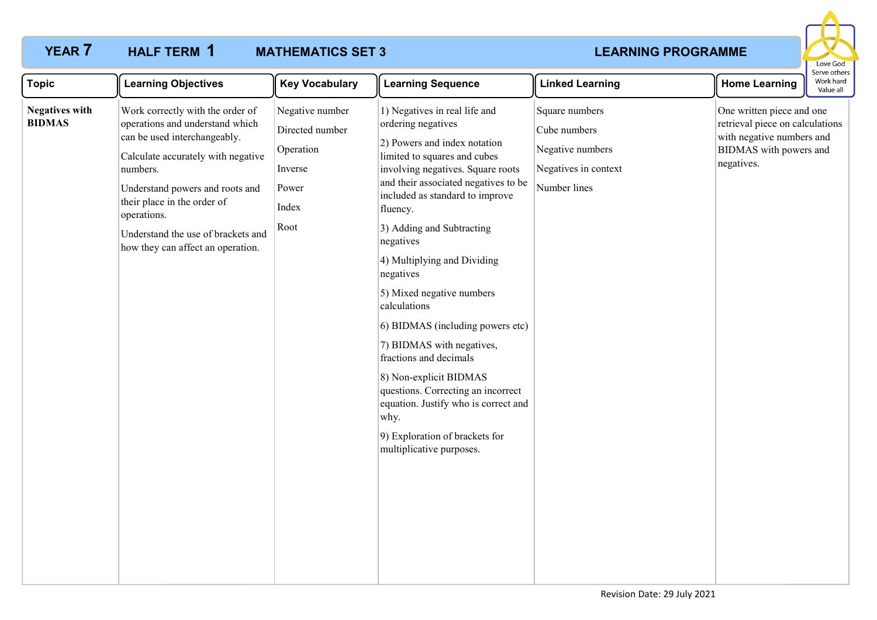## **MATHEMATICS SET 3** HALF TERM 1

# **YEAR 7 HALF TERM 1 MATHEMATICS SET 3 LEARNING PROGRAMME**



| <b>Topic</b>                           | <b>Learning Objectives</b>                                                                                                                                                                                                                                                                                        | <b>Key Vocabulary</b>                                                                | <b>Learning Sequence</b>                                                                                                                                                                                                                                                                                                                                                                                                                                                                                                                                                                                                                                    | <b>Linked Learning</b>                                                                     | <b>Home Learning</b>                                                                                                              | Serve others<br>Work hard<br>Value all |
|----------------------------------------|-------------------------------------------------------------------------------------------------------------------------------------------------------------------------------------------------------------------------------------------------------------------------------------------------------------------|--------------------------------------------------------------------------------------|-------------------------------------------------------------------------------------------------------------------------------------------------------------------------------------------------------------------------------------------------------------------------------------------------------------------------------------------------------------------------------------------------------------------------------------------------------------------------------------------------------------------------------------------------------------------------------------------------------------------------------------------------------------|--------------------------------------------------------------------------------------------|-----------------------------------------------------------------------------------------------------------------------------------|----------------------------------------|
| <b>Negatives with</b><br><b>BIDMAS</b> | Work correctly with the order of<br>operations and understand which<br>can be used interchangeably.<br>Calculate accurately with negative<br>numbers.<br>Understand powers and roots and<br>their place in the order of<br>operations.<br>Understand the use of brackets and<br>how they can affect an operation. | Negative number<br>Directed number<br>Operation<br>Inverse<br>Power<br>Index<br>Root | 1) Negatives in real life and<br>ordering negatives<br>2) Powers and index notation<br>limited to squares and cubes<br>involving negatives. Square roots<br>and their associated negatives to be<br>included as standard to improve<br>fluency.<br>3) Adding and Subtracting<br>negatives<br>4) Multiplying and Dividing<br>negatives<br>5) Mixed negative numbers<br>calculations<br>6) BIDMAS (including powers etc)<br>7) BIDMAS with negatives,<br>fractions and decimals<br>8) Non-explicit BIDMAS<br>questions. Correcting an incorrect<br>equation. Justify who is correct and<br>why.<br>9) Exploration of brackets for<br>multiplicative purposes. | Square numbers<br>Cube numbers<br>Negative numbers<br>Negatives in context<br>Number lines | One written piece and one<br>retrieval piece on calculations<br>with negative numbers and<br>BIDMAS with powers and<br>negatives. |                                        |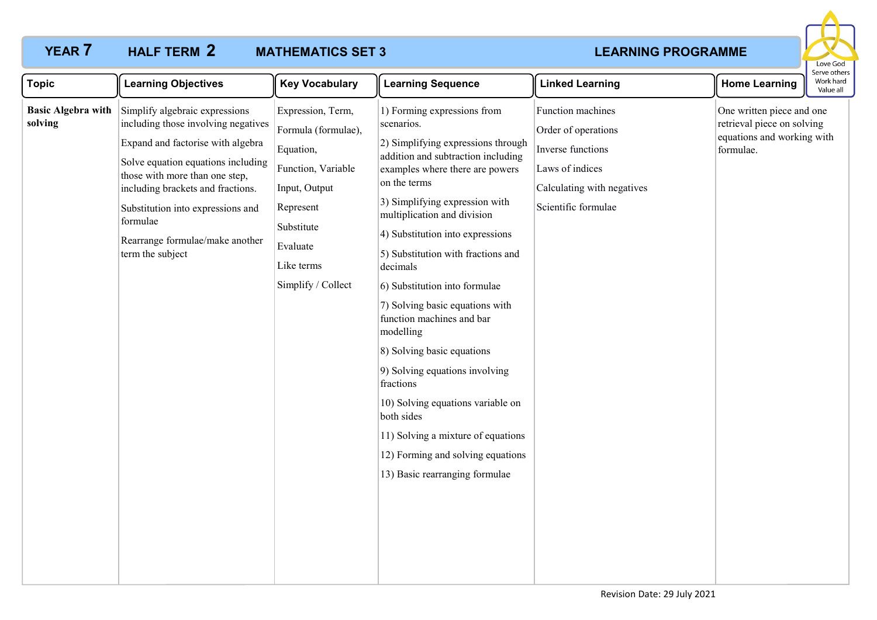# **YEAR 7 HALF TERM 2 MATHEMATICS SET 3 LEARNING PROGRAMME** HALF TERM 2

# **MATHEMATICS SET 3**



| <b>Topic</b>                         | <b>Learning Objectives</b>                                                                                                                                                                                                                                                                                                      | <b>Key Vocabulary</b>                                                                                                                                                   | <b>Learning Sequence</b>                                                                                                                                                                                                                                                                                                                                                                                                                                                                                                                                                                                                                                                                   | <b>Linked Learning</b>                                                                                                                | <b>Home Learning</b>                                                                               | יכו עכ טנווכו<br>Work hard<br>Value all |
|--------------------------------------|---------------------------------------------------------------------------------------------------------------------------------------------------------------------------------------------------------------------------------------------------------------------------------------------------------------------------------|-------------------------------------------------------------------------------------------------------------------------------------------------------------------------|--------------------------------------------------------------------------------------------------------------------------------------------------------------------------------------------------------------------------------------------------------------------------------------------------------------------------------------------------------------------------------------------------------------------------------------------------------------------------------------------------------------------------------------------------------------------------------------------------------------------------------------------------------------------------------------------|---------------------------------------------------------------------------------------------------------------------------------------|----------------------------------------------------------------------------------------------------|-----------------------------------------|
| <b>Basic Algebra with</b><br>solving | Simplify algebraic expressions<br>including those involving negatives<br>Expand and factorise with algebra<br>Solve equation equations including<br>those with more than one step,<br>including brackets and fractions.<br>Substitution into expressions and<br>formulae<br>Rearrange formulae/make another<br>term the subject | Expression, Term,<br>Formula (formulae),<br>Equation,<br>Function, Variable<br>Input, Output<br>Represent<br>Substitute<br>Evaluate<br>Like terms<br>Simplify / Collect | 1) Forming expressions from<br>scenarios.<br>2) Simplifying expressions through<br>addition and subtraction including<br>examples where there are powers<br>on the terms<br>3) Simplifying expression with<br>multiplication and division<br>4) Substitution into expressions<br>5) Substitution with fractions and<br>decimals<br>6) Substitution into formulae<br>7) Solving basic equations with<br>function machines and bar<br>modelling<br>8) Solving basic equations<br>9) Solving equations involving<br>fractions<br>10) Solving equations variable on<br>both sides<br>11) Solving a mixture of equations<br>12) Forming and solving equations<br>13) Basic rearranging formulae | Function machines<br>Order of operations<br>Inverse functions<br>Laws of indices<br>Calculating with negatives<br>Scientific formulae | One written piece and one<br>retrieval piece on solving<br>equations and working with<br>formulae. |                                         |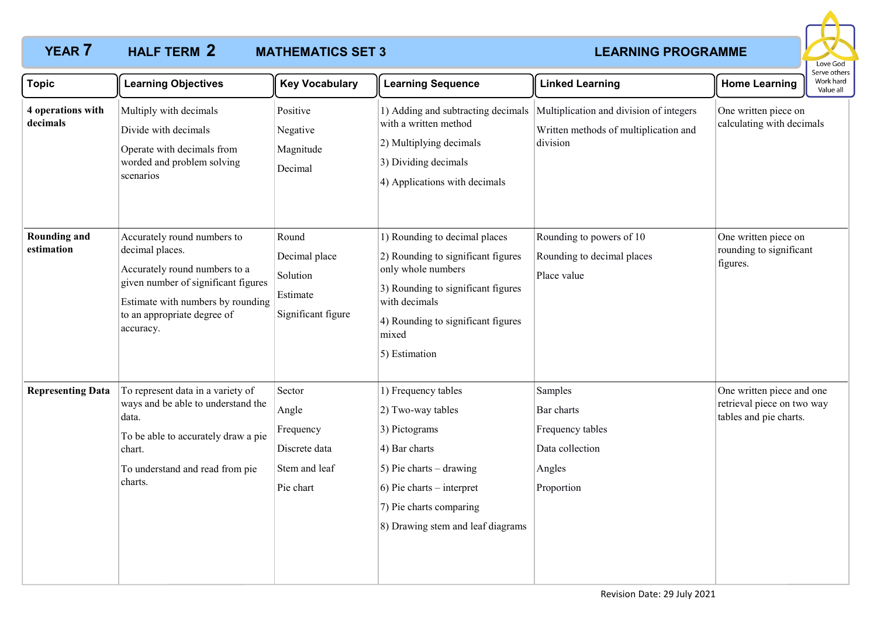# **YEAR 7 HALF TERM 2 MATHEMATICS SET 3 LEARNING PROGRAMME** HALF TERM 2

# **MATHEMATICS SET 3**



| <b>Topic</b>                      | <b>Learning Objectives</b>                                                                                                                                                                              | <b>Key Vocabulary</b>                                                       | <b>Learning Sequence</b>                                                                                                                                                                                         | <b>Linked Learning</b>                                                                       | <b>Home Learning</b>                                                              | Serve others<br>Work hard<br>Value all |
|-----------------------------------|---------------------------------------------------------------------------------------------------------------------------------------------------------------------------------------------------------|-----------------------------------------------------------------------------|------------------------------------------------------------------------------------------------------------------------------------------------------------------------------------------------------------------|----------------------------------------------------------------------------------------------|-----------------------------------------------------------------------------------|----------------------------------------|
| 4 operations with<br>decimals     | Multiply with decimals<br>Divide with decimals<br>Operate with decimals from<br>worded and problem solving<br>scenarios                                                                                 | Positive<br>Negative<br>Magnitude<br>Decimal                                | 1) Adding and subtracting decimals<br>with a written method<br>2) Multiplying decimals<br>3) Dividing decimals<br>4) Applications with decimals                                                                  | Multiplication and division of integers<br>Written methods of multiplication and<br>division | One written piece on<br>calculating with decimals                                 |                                        |
| <b>Rounding and</b><br>estimation | Accurately round numbers to<br>decimal places.<br>Accurately round numbers to a<br>given number of significant figures<br>Estimate with numbers by rounding<br>to an appropriate degree of<br>accuracy. | Round<br>Decimal place<br>Solution<br>Estimate<br>Significant figure        | 1) Rounding to decimal places<br>2) Rounding to significant figures<br>only whole numbers<br>3) Rounding to significant figures<br>with decimals<br>4) Rounding to significant figures<br>mixed<br>5) Estimation | Rounding to powers of 10<br>Rounding to decimal places<br>Place value                        | One written piece on<br>rounding to significant<br>figures.                       |                                        |
| <b>Representing Data</b>          | To represent data in a variety of<br>ways and be able to understand the<br>data.<br>To be able to accurately draw a pie<br>chart.<br>To understand and read from pie<br>charts.                         | Sector<br>Angle<br>Frequency<br>Discrete data<br>Stem and leaf<br>Pie chart | 1) Frequency tables<br>2) Two-way tables<br>3) Pictograms<br>4) Bar charts<br>$(5)$ Pie charts – drawing<br>$(6)$ Pie charts – interpret<br>7) Pie charts comparing<br>8) Drawing stem and leaf diagrams         | Samples<br>Bar charts<br>Frequency tables<br>Data collection<br>Angles<br>Proportion         | One written piece and one<br>retrieval piece on two way<br>tables and pie charts. |                                        |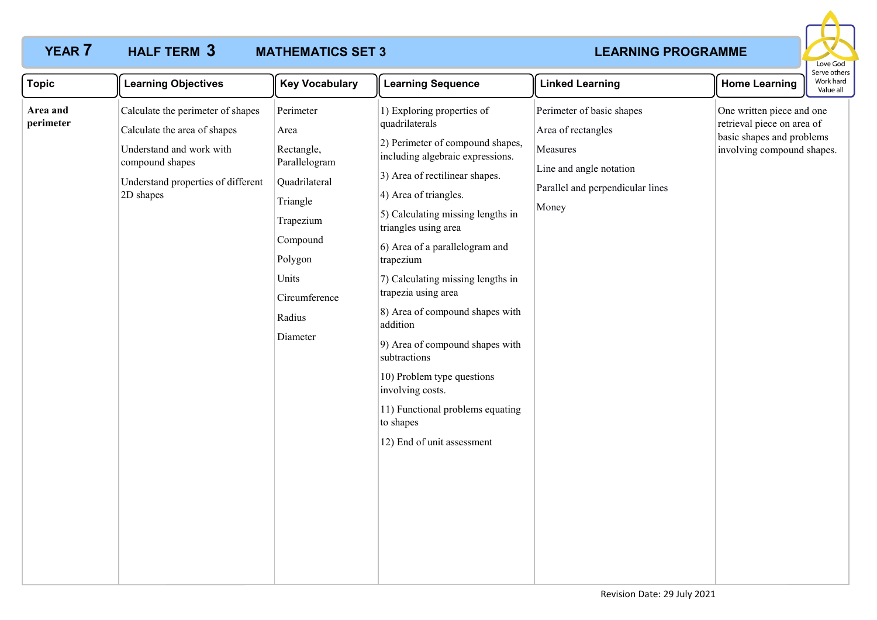### **YEAR 7 HALF TERM 3 MATHEMATICS SET 3 LEARNING PROGRAMME MATHEMATICS SET 3** HALF TERM 3



| <b>Topic</b>          | <b>Learning Objectives</b>                                                                                                                                          | <b>Key Vocabulary</b>                                                                                                                                             | <b>Learning Sequence</b>                                                                                                                                                                                                                                                                                                                                                                                                                                                                                                                                                                   | <b>Linked Learning</b>                                                                                                              | <b>Home Learning</b>                                                                                               | perve othe<br>Work hard<br>Value all |
|-----------------------|---------------------------------------------------------------------------------------------------------------------------------------------------------------------|-------------------------------------------------------------------------------------------------------------------------------------------------------------------|--------------------------------------------------------------------------------------------------------------------------------------------------------------------------------------------------------------------------------------------------------------------------------------------------------------------------------------------------------------------------------------------------------------------------------------------------------------------------------------------------------------------------------------------------------------------------------------------|-------------------------------------------------------------------------------------------------------------------------------------|--------------------------------------------------------------------------------------------------------------------|--------------------------------------|
| Area and<br>perimeter | Calculate the perimeter of shapes<br>Calculate the area of shapes<br>Understand and work with<br>compound shapes<br>Understand properties of different<br>2D shapes | Perimeter<br>Area<br>Rectangle,<br>Parallelogram<br>Quadrilateral<br>Triangle<br>Trapezium<br>Compound<br>Polygon<br>Units<br>Circumference<br>Radius<br>Diameter | 1) Exploring properties of<br>quadrilaterals<br>2) Perimeter of compound shapes,<br>including algebraic expressions.<br>3) Area of rectilinear shapes.<br>4) Area of triangles.<br>5) Calculating missing lengths in<br>triangles using area<br>6) Area of a parallelogram and<br>trapezium<br>7) Calculating missing lengths in<br>trapezia using area<br>8) Area of compound shapes with<br>addition<br>9) Area of compound shapes with<br>subtractions<br>10) Problem type questions<br>involving costs.<br>11) Functional problems equating<br>to shapes<br>12) End of unit assessment | Perimeter of basic shapes<br>Area of rectangles<br>Measures<br>Line and angle notation<br>Parallel and perpendicular lines<br>Money | One written piece and one<br>retrieval piece on area of<br>basic shapes and problems<br>involving compound shapes. |                                      |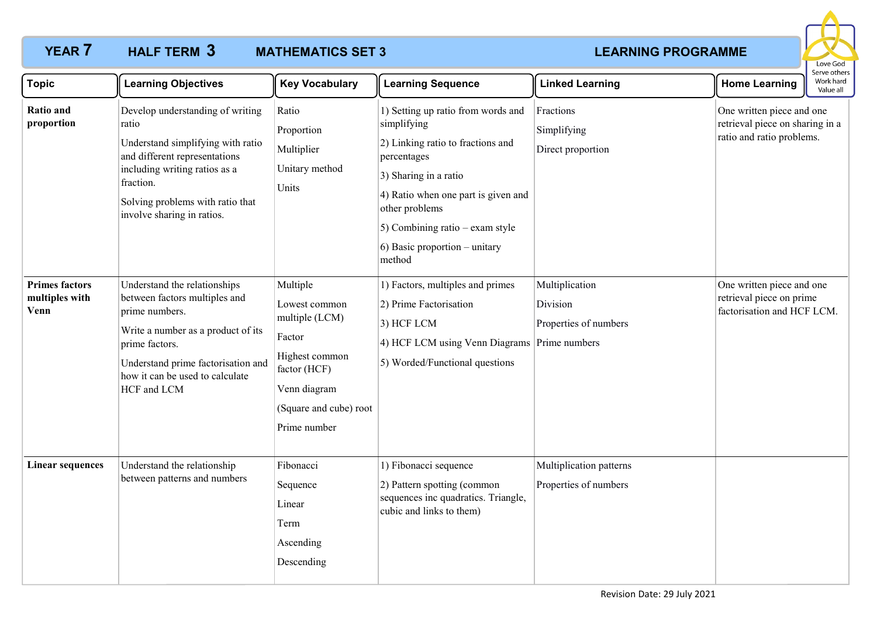# **YEAR 7 HALF TERM 3 MATHEMATICS SET 3 LEARNING PROGRAMME MATHEMATICS SET 3**



| <b>Topic</b>                                    | <b>Learning Objectives</b>                                                                                                                                                                                                      | <b>Key Vocabulary</b>                                                                                                                             | <b>Learning Sequence</b>                                                                                                                                                                                                                                                      | <b>Linked Learning</b>                              | <b>Home Learning</b>                                                                      | Serve others<br>Work hard<br>Value all |
|-------------------------------------------------|---------------------------------------------------------------------------------------------------------------------------------------------------------------------------------------------------------------------------------|---------------------------------------------------------------------------------------------------------------------------------------------------|-------------------------------------------------------------------------------------------------------------------------------------------------------------------------------------------------------------------------------------------------------------------------------|-----------------------------------------------------|-------------------------------------------------------------------------------------------|----------------------------------------|
| Ratio and<br>proportion                         | Develop understanding of writing<br>ratio<br>Understand simplifying with ratio<br>and different representations<br>including writing ratios as a<br>fraction.<br>Solving problems with ratio that<br>involve sharing in ratios. | Ratio<br>Proportion<br>Multiplier<br>Unitary method<br>Units                                                                                      | 1) Setting up ratio from words and<br>simplifying<br>2) Linking ratio to fractions and<br>percentages<br>3) Sharing in a ratio<br>4) Ratio when one part is given and<br>other problems<br>$\vert$ 5) Combining ratio – exam style<br>6) Basic proportion – unitary<br>method | Fractions<br>Simplifying<br>Direct proportion       | One written piece and one<br>retrieval piece on sharing in a<br>ratio and ratio problems. |                                        |
| <b>Primes factors</b><br>multiples with<br>Venn | Understand the relationships<br>between factors multiples and<br>prime numbers.<br>Write a number as a product of its<br>prime factors.<br>Understand prime factorisation and<br>how it can be used to calculate<br>HCF and LCM | Multiple<br>Lowest common<br>multiple (LCM)<br>Factor<br>Highest common<br>factor (HCF)<br>Venn diagram<br>(Square and cube) root<br>Prime number | 1) Factors, multiples and primes<br>2) Prime Factorisation<br>3) HCF LCM<br>4) HCF LCM using Venn Diagrams Prime numbers<br>5) Worded/Functional questions                                                                                                                    | Multiplication<br>Division<br>Properties of numbers | One written piece and one<br>retrieval piece on prime<br>factorisation and HCF LCM.       |                                        |
| <b>Linear sequences</b>                         | Understand the relationship<br>between patterns and numbers                                                                                                                                                                     | Fibonacci<br>Sequence<br>Linear<br>Term<br>Ascending<br>Descending                                                                                | 1) Fibonacci sequence<br>2) Pattern spotting (common<br>sequences inc quadratics. Triangle,<br>cubic and links to them)                                                                                                                                                       | Multiplication patterns<br>Properties of numbers    |                                                                                           |                                        |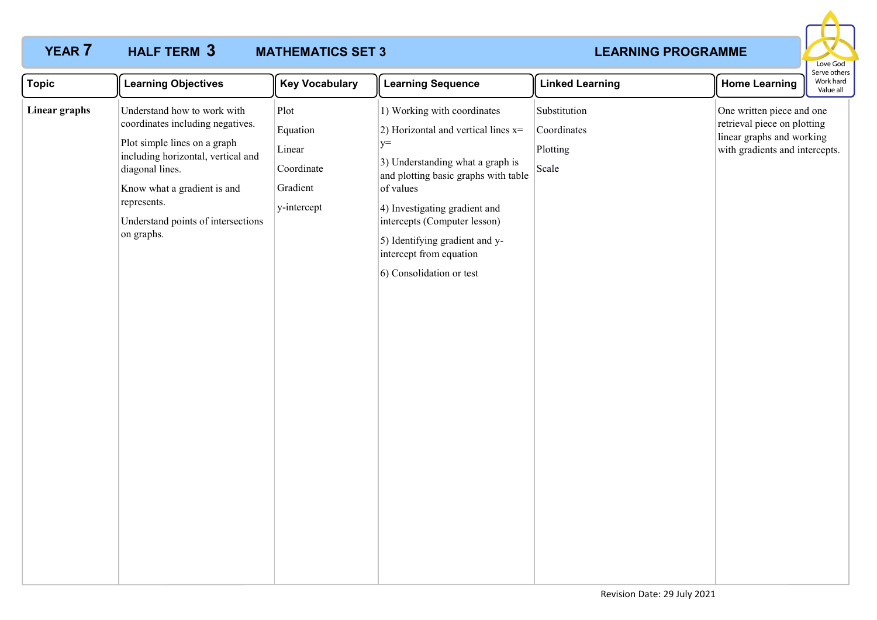## **YEAR 7 HALF TERM 3 MATHEMATICS SET 3 LEARNING PROGRAMME MATHEMATICS SET 3**



| <b>Topic</b>  | <b>Learning Objectives</b>                                                                                                                                                                                                                                 | <b>Key Vocabulary</b>                                               | <b>Learning Sequence</b>                                                                                                                                                                                                                                                                                                        | <b>Linked Learning</b>                           | <b>Home Learning</b>                                                                                                    | Work hard<br>Value all |
|---------------|------------------------------------------------------------------------------------------------------------------------------------------------------------------------------------------------------------------------------------------------------------|---------------------------------------------------------------------|---------------------------------------------------------------------------------------------------------------------------------------------------------------------------------------------------------------------------------------------------------------------------------------------------------------------------------|--------------------------------------------------|-------------------------------------------------------------------------------------------------------------------------|------------------------|
| Linear graphs | Understand how to work with<br>coordinates including negatives.<br>Plot simple lines on a graph<br>including horizontal, vertical and<br>diagonal lines.<br>Know what a gradient is and<br>represents.<br>Understand points of intersections<br>on graphs. | Plot<br>Equation<br>Linear<br>Coordinate<br>Gradient<br>y-intercept | 1) Working with coordinates<br>2) Horizontal and vertical lines $x=$<br>$y=$<br>3) Understanding what a graph is<br>and plotting basic graphs with table<br>of values<br>4) Investigating gradient and<br>intercepts (Computer lesson)<br>5) Identifying gradient and y-<br>intercept from equation<br>6) Consolidation or test | Substitution<br>Coordinates<br>Plotting<br>Scale | One written piece and one<br>retrieval piece on plotting<br>linear graphs and working<br>with gradients and intercepts. |                        |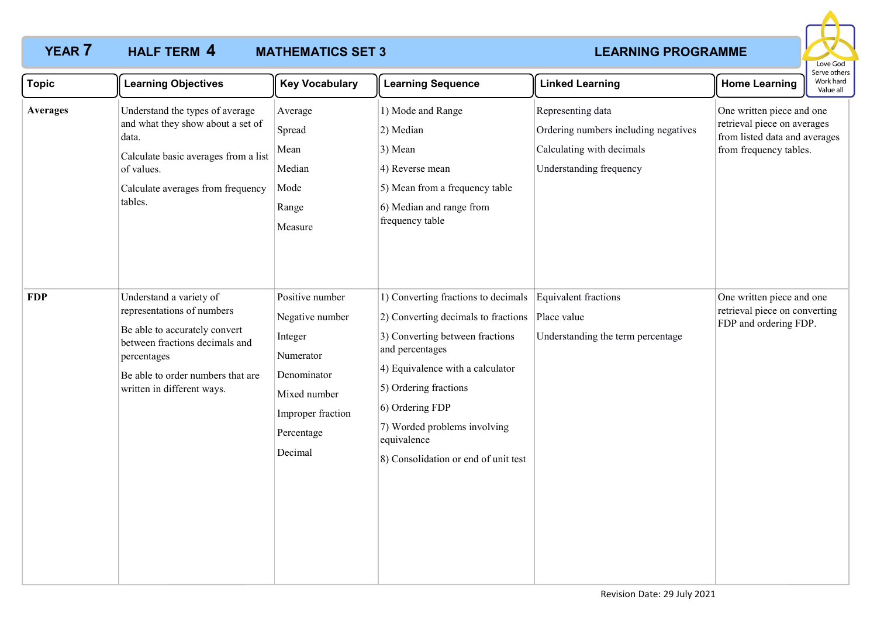# **YEAR 7 HALF TERM 4 MATHEMATICS SET 3 LEARNING PROGRAMME MATHEMATICS SET 3**



| <b>Topic</b>    | <b>Learning Objectives</b>                                                                                                                                                                                 | <b>Key Vocabulary</b>                                                                                                                   | <b>Learning Sequence</b>                                                                                                                                                                                                                                                                                | <b>Linked Learning</b>                                                                                            | <b>Home Learning</b>                                                                                                | Work hard<br>Value all |
|-----------------|------------------------------------------------------------------------------------------------------------------------------------------------------------------------------------------------------------|-----------------------------------------------------------------------------------------------------------------------------------------|---------------------------------------------------------------------------------------------------------------------------------------------------------------------------------------------------------------------------------------------------------------------------------------------------------|-------------------------------------------------------------------------------------------------------------------|---------------------------------------------------------------------------------------------------------------------|------------------------|
| <b>Averages</b> | Understand the types of average<br>and what they show about a set of<br>data.<br>Calculate basic averages from a list<br>of values.<br>Calculate averages from frequency<br>tables.                        | Average<br>Spread<br>Mean<br>Median<br>Mode<br>Range<br>Measure                                                                         | 1) Mode and Range<br>2) Median<br>3) Mean<br>4) Reverse mean<br>5) Mean from a frequency table<br>6) Median and range from<br>frequency table                                                                                                                                                           | Representing data<br>Ordering numbers including negatives<br>Calculating with decimals<br>Understanding frequency | One written piece and one<br>retrieval piece on averages<br>from listed data and averages<br>from frequency tables. |                        |
| <b>FDP</b>      | Understand a variety of<br>representations of numbers<br>Be able to accurately convert<br>between fractions decimals and<br>percentages<br>Be able to order numbers that are<br>written in different ways. | Positive number<br>Negative number<br>Integer<br>Numerator<br>Denominator<br>Mixed number<br>Improper fraction<br>Percentage<br>Decimal | 1) Converting fractions to decimals<br>2) Converting decimals to fractions<br>3) Converting between fractions<br>and percentages<br>4) Equivalence with a calculator<br>5) Ordering fractions<br>6) Ordering FDP<br>7) Worded problems involving<br>equivalence<br>8) Consolidation or end of unit test | Equivalent fractions<br>Place value<br>Understanding the term percentage                                          | One written piece and one<br>retrieval piece on converting<br>FDP and ordering FDP.                                 |                        |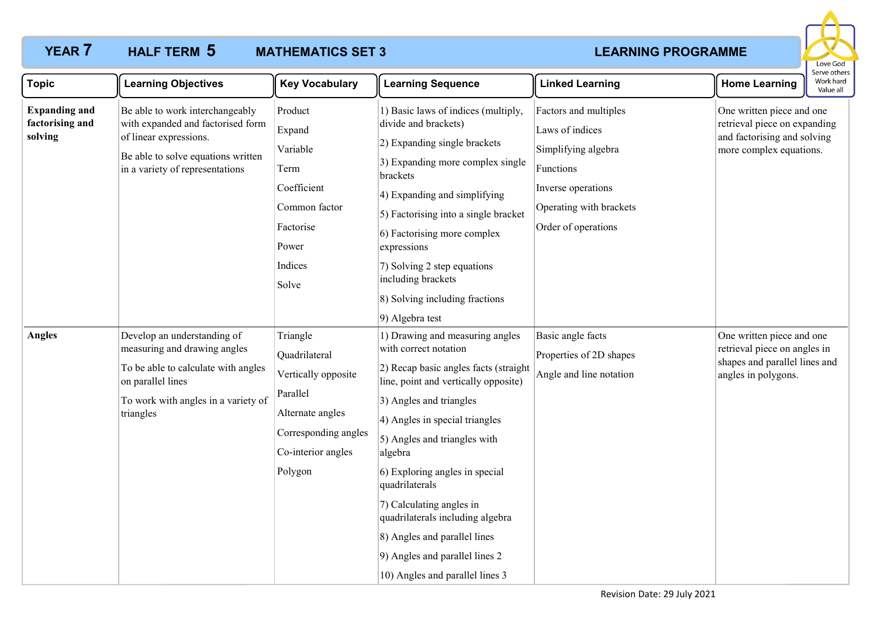# **YEAR 7 HALF TERM 5 MATHEMATICS SET 3 LEARNING PROGRAMME MATHEMATICS SET 3**



| <b>Topic</b>                                       | <b>Learning Objectives</b>                                                                                                                                                  | <b>Key Vocabulary</b>                                                                                                                     | <b>Learning Sequence</b>                                                                                                                                                                                                                                                                                                                                                                                                                                                   | <b>Linked Learning</b>                                                                                                                               | <b>Home Learning</b>                                                                                                | וסטו שכן עב<br>Work hard<br>Value all |
|----------------------------------------------------|-----------------------------------------------------------------------------------------------------------------------------------------------------------------------------|-------------------------------------------------------------------------------------------------------------------------------------------|----------------------------------------------------------------------------------------------------------------------------------------------------------------------------------------------------------------------------------------------------------------------------------------------------------------------------------------------------------------------------------------------------------------------------------------------------------------------------|------------------------------------------------------------------------------------------------------------------------------------------------------|---------------------------------------------------------------------------------------------------------------------|---------------------------------------|
| <b>Expanding and</b><br>factorising and<br>solving | Be able to work interchangeably<br>with expanded and factorised form<br>of linear expressions.<br>Be able to solve equations written<br>in a variety of representations     | Product<br>Expand<br>Variable<br>Term<br>Coefficient<br>Common factor<br>Factorise<br>Power<br>Indices<br>Solve                           | 1) Basic laws of indices (multiply,<br>divide and brackets)<br>2) Expanding single brackets<br>3) Expanding more complex single<br>brackets<br>4) Expanding and simplifying<br>5) Factorising into a single bracket<br>6) Factorising more complex<br>expressions<br>7) Solving 2 step equations<br>including brackets<br>8) Solving including fractions<br>9) Algebra test                                                                                                | Factors and multiples<br>Laws of indices<br>Simplifying algebra<br>Functions<br>Inverse operations<br>Operating with brackets<br>Order of operations | One written piece and one<br>retrieval piece on expanding<br>and factorising and solving<br>more complex equations. |                                       |
| <b>Angles</b>                                      | Develop an understanding of<br>measuring and drawing angles<br>To be able to calculate with angles<br>on parallel lines<br>To work with angles in a variety of<br>triangles | Triangle<br>Quadrilateral<br>Vertically opposite<br>Parallel<br>Alternate angles<br>Corresponding angles<br>Co-interior angles<br>Polygon | 1) Drawing and measuring angles<br>with correct notation<br>2) Recap basic angles facts (straight<br>line, point and vertically opposite)<br>3) Angles and triangles<br>4) Angles in special triangles<br>5) Angles and triangles with<br>algebra<br>6) Exploring angles in special<br>quadrilaterals<br>7) Calculating angles in<br>quadrilaterals including algebra<br>8) Angles and parallel lines<br>9) Angles and parallel lines 2<br>10) Angles and parallel lines 3 | Basic angle facts<br>Properties of 2D shapes<br>Angle and line notation                                                                              | One written piece and one<br>retrieval piece on angles in<br>shapes and parallel lines and<br>angles in polygons.   |                                       |